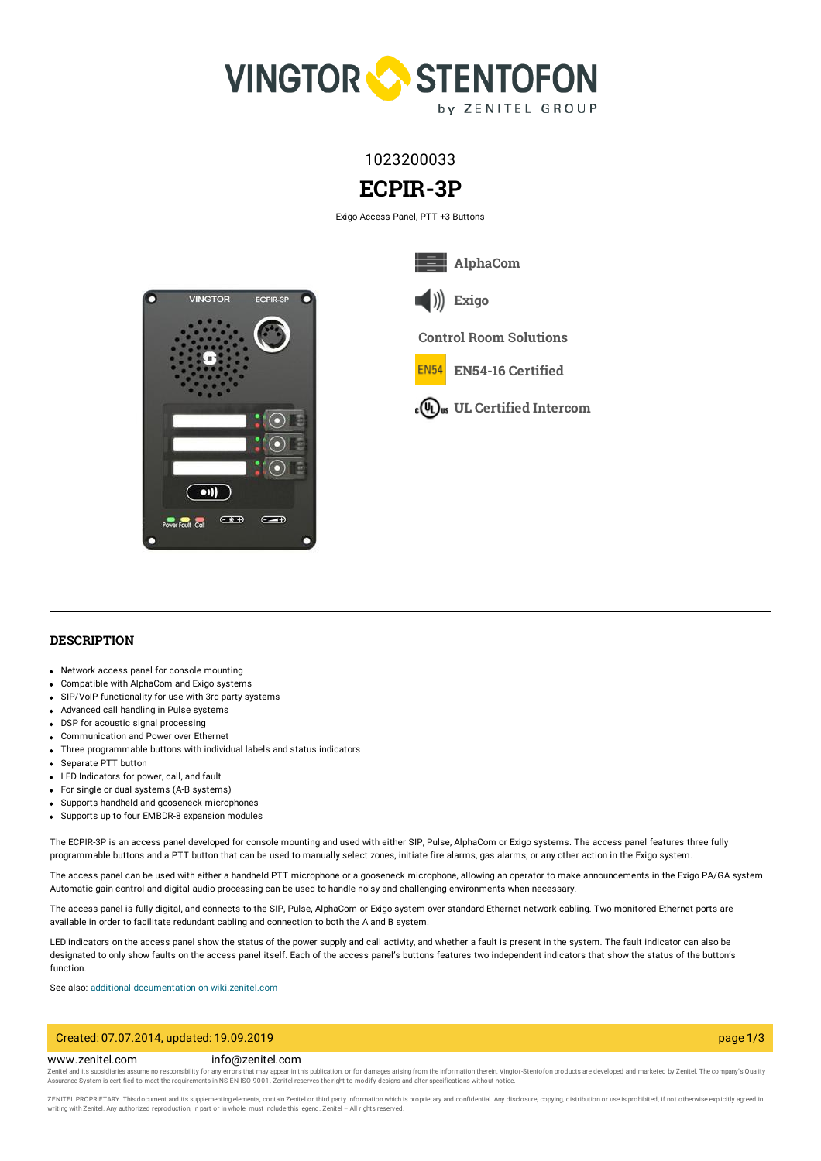

1023200033

# **ECPIR-3P**

Exigo Access Panel, PTT +3 Buttons



**[Exigo](https://www.zenitel.com/technology/exigo)**

**Control Room [Solutions](https://www.zenitel.com/technology/control-room-solutions)**

**[AlphaCom](https://www.zenitel.com/technology/alphacom)**

**FN54 EN54-16 [Certified](https://www.zenitel.com/technology/compatibility/en54-16-certified)**

**UL Certified [Intercom](https://www.zenitel.com/technology/compatibility/ul-certified-intercom)**

## **DESCRIPTION**

- Network access panel for console mounting
- Compatible with AlphaCom and Exigo systems
- SIP/VoIP functionality for use with 3rd-party systems
- Advanced call handling in Pulse systems
- DSP for acoustic signal processing
- Communication and Power over Ethernet
- Three programmable buttons with individual labels and status indicators
- Separate PTT button
- LED Indicators for power, call, and fault
- For single or dual systems (A-B systems)
- Supports handheld and gooseneck microphones
- Supports up to four EMBDR-8 expansion modules

The ECPIR-3P is an access panel developed for console mounting and used with either SIP, Pulse, AlphaCom or Exigo systems. The access panel features three fully programmable buttons and a PTT button that can be used to manually select zones, initiate fire alarms, gas alarms, or any other action in the Exigo system.

The access panel can be used with either a handheld PTT microphone or a gooseneck microphone, allowing an operator to make announcements in the Exigo PA/GA system. Automatic gain control and digital audio processing can be used to handle noisy and challenging environments when necessary.

The access panel is fully digital, and connects to the SIP, Pulse, AlphaCom or Exigo system over standard Ethernet network cabling. Two monitored Ethernet ports are available in order to facilitate redundant cabling and connection to both the A and B system.

LED indicators on the access panel show the status of the power supply and call activity, and whether a fault is present in the system. The fault indicator can also be designated to only show faults on the access panel itself. Each of the access panel's buttons features two independent indicators that show the status of the button's function.

See also: additional documentation on [wiki.zenitel.com](https://wiki.zenitel.com/wiki/ECPIR-3P)

#### Created: 07.07.2014, updated: 19.09.2019 page 1/3

#### www.zenitel.com info@zenitel.com

Zenitel and its subsidiaries assume no responsibility for any errors that may appear in this publication, or for damages arising from the information therein. Vingtor-Stentofon products are developed and marketed by Zenite

ZENITEL PROPRIETARY. This document and its supplementing elements, contain Zenitel or third party information which is proprietary and confidential. Any disclosure, copying, distribution or use is prohibited, if not otherw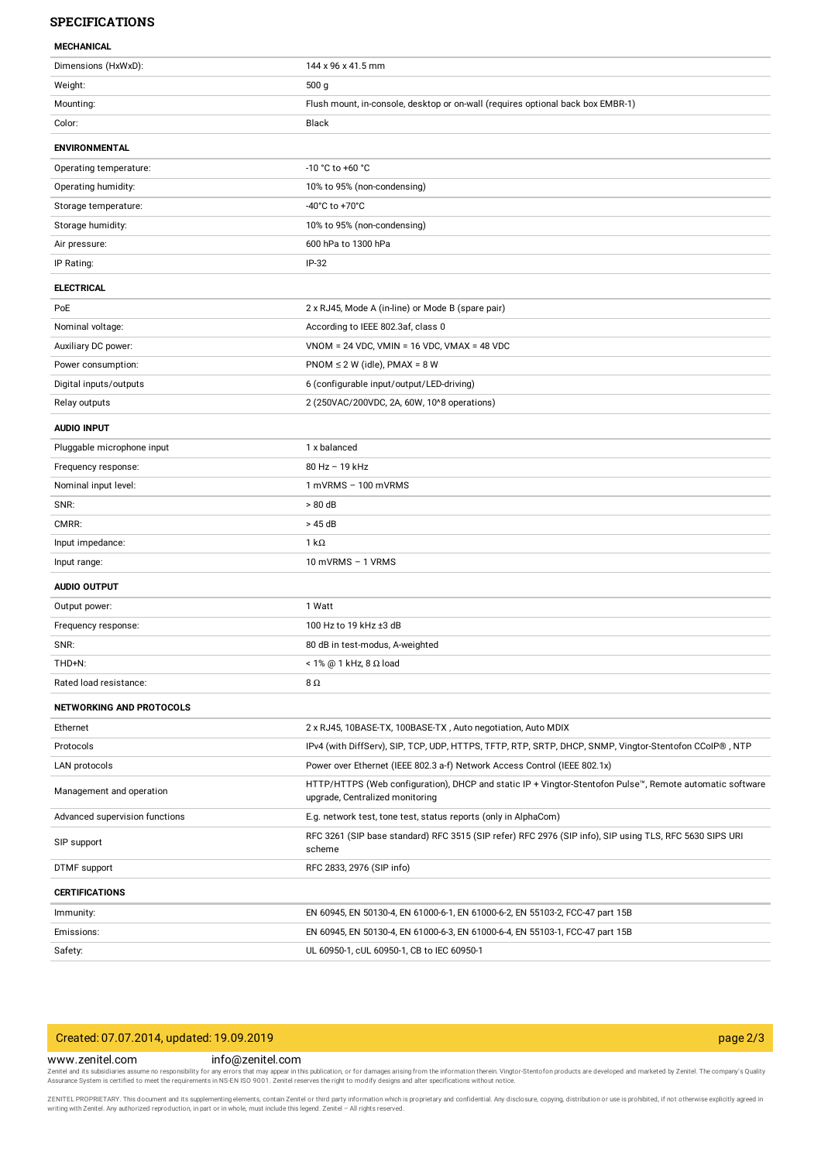# **SPECIFICATIONS**

| <b>MECHANICAL</b> |  |
|-------------------|--|

| Dimensions (HxWxD):             | 144 x 96 x 41.5 mm                                                                                                                          |
|---------------------------------|---------------------------------------------------------------------------------------------------------------------------------------------|
| Weight:                         | 500 g                                                                                                                                       |
| Mounting:                       | Flush mount, in-console, desktop or on-wall (requires optional back box EMBR-1)                                                             |
| Color:                          | Black                                                                                                                                       |
| <b>ENVIRONMENTAL</b>            |                                                                                                                                             |
| Operating temperature:          | -10 °C to +60 °C                                                                                                                            |
| Operating humidity:             | 10% to 95% (non-condensing)                                                                                                                 |
| Storage temperature:            | -40°C to +70°C                                                                                                                              |
| Storage humidity:               | 10% to 95% (non-condensing)                                                                                                                 |
| Air pressure:                   | 600 hPa to 1300 hPa                                                                                                                         |
| IP Rating:                      | $IP-32$                                                                                                                                     |
| <b>ELECTRICAL</b>               |                                                                                                                                             |
| PoE                             | 2 x RJ45, Mode A (in-line) or Mode B (spare pair)                                                                                           |
| Nominal voltage:                | According to IEEE 802.3af, class 0                                                                                                          |
| Auxiliary DC power:             | $VNOM = 24 VDC$ , $VMIN = 16 VDC$ , $VMAX = 48 VDC$                                                                                         |
| Power consumption:              | $PNOM \le 2 W$ (idle), $PMAX = 8 W$                                                                                                         |
| Digital inputs/outputs          | 6 (configurable input/output/LED-driving)                                                                                                   |
| Relay outputs                   | 2 (250VAC/200VDC, 2A, 60W, 10^8 operations)                                                                                                 |
| <b>AUDIO INPUT</b>              |                                                                                                                                             |
| Pluggable microphone input      | 1 x balanced                                                                                                                                |
| Frequency response:             | 80 Hz - 19 kHz                                                                                                                              |
| Nominal input level:            | 1 mVRMS - 100 mVRMS                                                                                                                         |
| SNR:                            | > 80 dB                                                                                                                                     |
| CMRR:                           | > 45 dB                                                                                                                                     |
| Input impedance:                | $1 k\Omega$                                                                                                                                 |
| Input range:                    | 10 mVRMS - 1 VRMS                                                                                                                           |
| <b>AUDIO OUTPUT</b>             |                                                                                                                                             |
| Output power:                   | 1 Watt                                                                                                                                      |
| Frequency response:             | 100 Hz to 19 kHz ±3 dB                                                                                                                      |
| SNR:                            | 80 dB in test-modus, A-weighted                                                                                                             |
| THD+N:                          | $<$ 1% @ 1 kHz, 8 $\Omega$ load                                                                                                             |
| Rated load resistance:          | 8Ω                                                                                                                                          |
| <b>NETWORKING AND PROTOCOLS</b> |                                                                                                                                             |
| Ethernet                        | 2 x RJ45, 10BASE-TX, 100BASE-TX, Auto negotiation, Auto MDIX                                                                                |
| Protocols                       | IPv4 (with DiffServ), SIP, TCP, UDP, HTTPS, TFTP, RTP, SRTP, DHCP, SNMP, Vingtor-Stentofon CCoIP®, NTP                                      |
| LAN protocols                   | Power over Ethernet (IEEE 802.3 a-f) Network Access Control (IEEE 802.1x)                                                                   |
| Management and operation        | HTTP/HTTPS (Web configuration), DHCP and static IP + Vingtor-Stentofon Pulse™, Remote automatic software<br>upgrade, Centralized monitoring |
| Advanced supervision functions  | E.g. network test, tone test, status reports (only in AlphaCom)                                                                             |
| SIP support                     | RFC 3261 (SIP base standard) RFC 3515 (SIP refer) RFC 2976 (SIP info), SIP using TLS, RFC 5630 SIPS URI<br>scheme                           |
| DTMF support                    | RFC 2833, 2976 (SIP info)                                                                                                                   |
| <b>CERTIFICATIONS</b>           |                                                                                                                                             |
| Immunity:                       | EN 60945, EN 50130-4, EN 61000-6-1, EN 61000-6-2, EN 55103-2, FCC-47 part 15B                                                               |
| Emissions:                      | EN 60945, EN 50130-4, EN 61000-6-3, EN 61000-6-4, EN 55103-1, FCC-47 part 15B                                                               |
| Safety:                         | UL 60950-1, cUL 60950-1, CB to IEC 60950-1                                                                                                  |

| Created: 07.07.2014, updated: 19.09.2019                                                                                                                        | page $2/3$                                                                                                                                                                                                                     |  |
|-----------------------------------------------------------------------------------------------------------------------------------------------------------------|--------------------------------------------------------------------------------------------------------------------------------------------------------------------------------------------------------------------------------|--|
| www.zenitel.com                                                                                                                                                 | info@zenitel.com                                                                                                                                                                                                               |  |
|                                                                                                                                                                 | Zenitel and its subsidiaries assume no responsibility for any errors that may appear in this publication, or for damages arising from the information therein. Vingtor-Stentofon products are developed and marketed by Zenite |  |
| Assurance System is certified to meet the requirements in NS-EN ISO 9001. Zenitel reserves the right to modify designs and alter specifications without notice. |                                                                                                                                                                                                                                |  |

ZENITEL PROPRIETARY. This document and its supplementing elements, contain Zenitel or third party information which is proprietary and confidential. Any disclosure, copying, distribution or use is prohibited, if not otherw